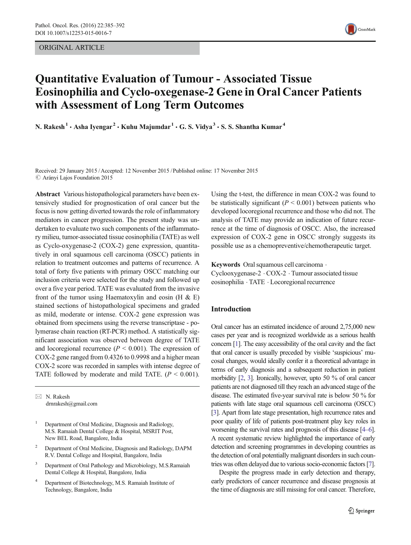ORIGINAL ARTICLE



# Quantitative Evaluation of Tumour - Associated Tissue Eosinophilia and Cyclo-oxegenase-2 Gene in Oral Cancer Patients with Assessment of Long Term Outcomes

N. Rakesh<sup>1</sup>  $\cdot$  Asha Iyengar<sup>2</sup>  $\cdot$  Kuhu Majumdar<sup>1</sup>  $\cdot$  G. S. Vidya<sup>3</sup>  $\cdot$  S. S. Shantha Kumar<sup>4</sup>

Received: 29 January 2015 /Accepted: 12 November 2015 /Published online: 17 November 2015  $\oslash$  Arányi Lajos Foundation 2015

Abstract Various histopathological parameters have been extensively studied for prognostication of oral cancer but the focus is now getting diverted towards the role of inflammatory mediators in cancer progression. The present study was undertaken to evaluate two such components of the inflammatory milieu, tumor-associated tissue eosinophilia (TATE) as well as Cyclo-oxygenase-2 (COX-2) gene expression, quantitatively in oral squamous cell carcinoma (OSCC) patients in relation to treatment outcomes and patterns of recurrence. A total of forty five patients with primary OSCC matching our inclusion criteria were selected for the study and followed up over a five year period. TATE was evaluated from the invasive front of the tumor using Haematoxylin and eosin (H  $\&$  E) stained sections of histopathological specimens and graded as mild, moderate or intense. COX-2 gene expression was obtained from specimens using the reverse transcriptase - polymerase chain reaction (RT-PCR) method. A statistically significant association was observed between degree of TATE and locoregional recurrence ( $P < 0.001$ ). The expression of COX-2 gene ranged from 0.4326 to 0.9998 and a higher mean COX-2 score was recorded in samples with intense degree of TATE followed by moderate and mild TATE.  $(P < 0.001)$ .

 $\boxtimes$  N. Rakesh drnrakesh@gmail.com

<sup>1</sup> Department of Oral Medicine, Diagnosis and Radiology, M.S. Ramaiah Dental College & Hospital, MSRIT Post, New BEL Road, Bangalore, India

- <sup>2</sup> Department of Oral Medicine, Diagnosis and Radiology, DAPM R.V. Dental College and Hospital, Bangalore, India
- <sup>3</sup> Department of Oral Pathology and Microbiology, M.S.Ramaiah Dental College & Hospital, Bangalore, India
- <sup>4</sup> Department of Biotechnology, M.S. Ramaiah Institute of Technology, Bangalore, India

Using the t-test, the difference in mean COX-2 was found to be statistically significant ( $P < 0.001$ ) between patients who developed locoregional recurrence and those who did not. The analysis of TATE may provide an indication of future recurrence at the time of diagnosis of OSCC. Also, the increased expression of COX-2 gene in OSCC strongly suggests its possible use as a chemopreventive/chemotherapeutic target.

Keywords Oral squamous cell carcinoma . Cyclooxygenase-2 . COX-2 . Tumour associated tissue eosinophilia . TATE . Locoregional recurrence

# Introduction

Oral cancer has an estimated incidence of around 2,75,000 new cases per year and is recognized worldwide as a serious health concern [[1](#page-6-0)]. The easy accessibility of the oral cavity and the fact that oral cancer is usually preceded by visible 'suspicious' mucosal changes, would ideally confer it a theoretical advantage in terms of early diagnosis and a subsequent reduction in patient morbidity [[2](#page-6-0), [3](#page-6-0)]. Ironically, however, upto 50 % of oral cancer patients are not diagnosed till they reach an advanced stage of the disease. The estimated five-year survival rate is below 50 % for patients with late stage oral squamous cell carcinoma (OSCC) [\[3\]](#page-6-0). Apart from late stage presentation, high recurrence rates and poor quality of life of patients post-treatment play key roles in worsening the survival rates and prognosis of this disease [\[4](#page-6-0)–[6\]](#page-6-0). A recent systematic review highlighted the importance of early detection and screening programmes in developing countries as the detection of oral potentially malignant disorders in such countries was often delayed due to various socio-economic factors [\[7\]](#page-6-0).

Despite the progress made in early detection and therapy, early predictors of cancer recurrence and disease prognosis at the time of diagnosis are still missing for oral cancer. Therefore,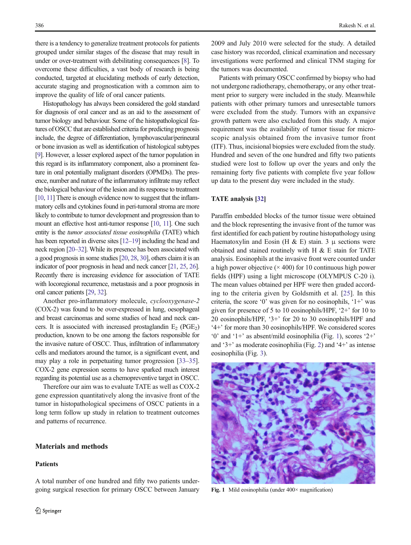there is a tendency to generalize treatment protocols for patients grouped under similar stages of the disease that may result in under or over-treatment with debilitating consequences [\[8\]](#page-6-0). To overcome these difficulties, a vast body of research is being conducted, targeted at elucidating methods of early detection, accurate staging and prognostication with a common aim to improve the quality of life of oral cancer patients.

Histopathology has always been considered the gold standard for diagnosis of oral cancer and as an aid to the assessment of tumor biology and behaviour. Some of the histopathological features of OSCC that are established criteria for predicting prognosis include, the degree of differentiation, lymphovascular/perineural or bone invasion as well as identification of histological subtypes [\[9\]](#page-6-0). However, a lesser explored aspect of the tumor population in this regard is its inflammatory component, also a prominent feature in oral potentially malignant disorders (OPMDs). The presence, number and nature of the inflammatory infiltrate may reflect the biological behaviour of the lesion and its response to treatment [\[10](#page-6-0), [11](#page-6-0)] There is enough evidence now to suggest that the inflammatory cells and cytokines found in peri-tumoral stroma are more likely to contribute to tumor development and progression than to mount an effective host anti-tumor response [\[10,](#page-6-0) [11](#page-6-0)]. One such entity is the tumor associated tissue eosinophilia (TATE) which has been reported in diverse sites [\[12](#page-6-0)–[19](#page-7-0)] including the head and neck region [\[20](#page-7-0)–[32](#page-7-0)]. While its presence has been associated with a good prognosis in some studies [\[20](#page-7-0), [28,](#page-7-0) [30](#page-7-0)], others claim it is an indicator of poor prognosis in head and neck cancer [[21,](#page-7-0) [25,](#page-7-0) [26\]](#page-7-0). Recently there is increasing evidence for association of TATE with locoregional recurrence, metastasis and a poor prognosis in oral cancer patients [\[29](#page-7-0), [32\]](#page-7-0).

Another pro-inflammatory molecule, cyclooxygenase-2 (COX-2) was found to be over-expressed in lung, oesophageal and breast carcinomas and some studies of head and neck cancers. It is associated with increased prostaglandin  $E_2$  (PGE<sub>2</sub>) production, known to be one among the factors responsible for the invasive nature of OSCC. Thus, infiltration of inflammatory cells and mediators around the tumor, is a significant event, and may play a role in perpetuating tumor progression [\[33](#page-7-0)–[35\]](#page-7-0). COX-2 gene expression seems to have sparked much interest regarding its potential use as a chemopreventive target in OSCC.

Therefore our aim was to evaluate TATE as well as COX-2 gene expression quantitatively along the invasive front of the tumor in histopathological specimens of OSCC patients in a long term follow up study in relation to treatment outcomes and patterns of recurrence.

# Materials and methods

#### Patients

A total number of one hundred and fifty two patients undergoing surgical resection for primary OSCC between January

2009 and July 2010 were selected for the study. A detailed case history was recorded, clinical examination and necessary investigations were performed and clinical TNM staging for the tumors was documented.

Patients with primary OSCC confirmed by biopsy who had not undergone radiotherapy, chemotherapy, or any other treatment prior to surgery were included in the study. Meanwhile patients with other primary tumors and unresectable tumors were excluded from the study. Tumors with an expansive growth pattern were also excluded from this study. A major requirement was the availability of tumor tissue for microscopic analysis obtained from the invasive tumor front (ITF). Thus, incisional biopsies were excluded from the study. Hundred and seven of the one hundred and fifty two patients studied were lost to follow up over the years and only the remaining forty five patients with complete five year follow up data to the present day were included in the study.

# TATE analysis [[32\]](#page-7-0)

Paraffin embedded blocks of the tumor tissue were obtained and the block representing the invasive front of the tumor was first identified for each patient by routine histopathology using Haematoxylin and Eosin (H & E) stain. 3  $\mu$  sections were obtained and stained routinely with H & E stain for TATE analysis. Eosinophils at the invasive front were counted under a high power objective  $(\times 400)$  for 10 continuous high power fields (HPF) using a light microscope (OLYMPUS C-20 i). The mean values obtained per HPF were then graded according to the criteria given by Goldsmith et al. [[25\]](#page-7-0). In this criteria, the score '0' was given for no eosinophils, '1+' was given for presence of 5 to 10 eosinophils/HPF, '2+' for 10 to 20 eosinophils/HPF, '3+' for 20 to 30 eosinophils/HPF and '4+' for more than 30 eosinophils/HPF. We considered scores '0' and '1+' as absent/mild eosinophilia (Fig. 1), scores '2+' and '3+' as moderate eosinophilia (Fig. [2\)](#page-2-0) and '4+' as intense eosinophilia (Fig. [3](#page-2-0)).



Fig. 1 Mild eosinophilia (under  $400 \times$  magnification)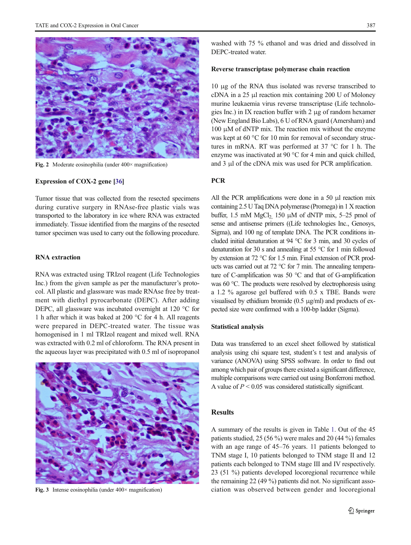<span id="page-2-0"></span>

Fig. 2 Moderate eosinophilia (under 400× magnification)

# Expression of COX-2 gene [\[36\]](#page-7-0)

Tumor tissue that was collected from the resected specimens during curative surgery in RNAse-free plastic vials was transported to the laboratory in ice where RNA was extracted immediately. Tissue identified from the margins of the resected tumor specimen was used to carry out the following procedure.

# RNA extraction

RNA was extracted using TRIzol reagent (Life Technologies Inc.) from the given sample as per the manufacturer's protocol. All plastic and glassware was made RNAse free by treatment with diethyl pyrocarbonate (DEPC). After adding DEPC, all glassware was incubated overnight at 120 °C for 1 h after which it was baked at 200 °C for 4 h. All reagents were prepared in DEPC-treated water. The tissue was homogenised in 1 ml TRIzol reagent and mixed well. RNA was extracted with 0.2 ml of chloroform. The RNA present in the aqueous layer was precipitated with 0.5 ml of isopropanol



Fig. 3 Intense eosinophilia (under  $400 \times$  magnification)

washed with 75 % ethanol and was dried and dissolved in DEPC-treated water.

#### Reverse transcriptase polymerase chain reaction

10 μg of the RNA thus isolated was reverse transcribed to cDNA in a 25 μl reaction mix containing 200 U of Moloney murine leukaemia virus reverse transcriptase (Life technologies Inc.) in IX reaction buffer with 2 μg of random hexamer (New England Bio Labs), 6 U of RNA guard (Amersham) and  $100 \mu$ M of dNTP mix. The reaction mix without the enzyme was kept at 60 °C for 10 min for removal of secondary structures in mRNA. RT was performed at 37 °C for 1 h. The enzyme was inactivated at 90 °C for 4 min and quick chilled, and 3 μl of the cDNA mix was used for PCR amplification.

# **PCR**

All the PCR amplifications were done in a 50 μl reaction mix containing 2.5 U Taq DNA polymerase (Promega) in 1 X reaction buffer, 1.5 mM  $MgCl<sub>2</sub>$ , 150  $\mu$ M of dNTP mix, 5–25 pmol of sense and antisense primers ((Life technologies Inc., Genosys, Sigma), and 100 ng of template DNA. The PCR conditions included initial denaturation at 94 °C for 3 min, and 30 cycles of denaturation for 30 s and annealing at 55 °C for 1 min followed by extension at 72 °C for 1.5 min. Final extension of PCR products was carried out at 72 °C for 7 min. The annealing temperature of C-amplification was 50 °C and that of G-amplification was 60 °C. The products were resolved by electrophoresis using a 1.2 % agarose gel buffered with 0.5 x TBE. Bands were visualised by ethidium bromide (0.5 μg/ml) and products of expected size were confirmed with a 100-bp ladder (Sigma).

## Statistical analysis

Data was transferred to an excel sheet followed by statistical analysis using chi square test, student's t test and analysis of variance (ANOVA) using SPSS software. In order to find out among which pair of groups there existed a significant difference, multiple comparisons were carried out using Bonferroni method. A value of  $P \leq 0.05$  was considered statistically significant.

# Results

A summary of the results is given in Table [1.](#page-3-0) Out of the 45 patients studied, 25 (56 %) were males and 20 (44 %) females with an age range of 45–76 years. 11 patients belonged to TNM stage I, 10 patients belonged to TNM stage II and 12 patients each belonged to TNM stage III and IV respectively. 23 (51 %) patients developed locoregional recurrence while the remaining 22 (49 %) patients did not. No significant association was observed between gender and locoregional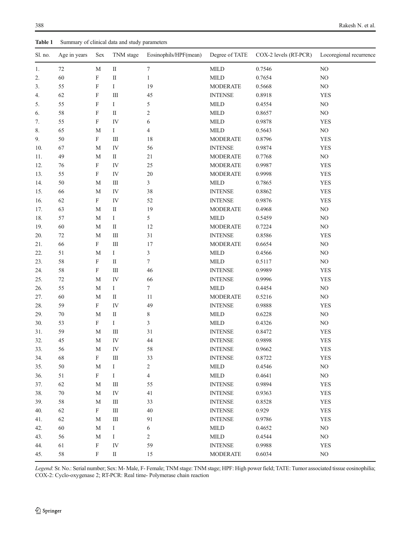<span id="page-3-0"></span>

| Table 1 | Summary of clinical data and study parameters |                           |             |                       |                         |                       |                               |  |  |
|---------|-----------------------------------------------|---------------------------|-------------|-----------------------|-------------------------|-----------------------|-------------------------------|--|--|
| Sl. no. | Age in years                                  | Sex                       | TNM stage   | Eosinophils/HPF(mean) | Degree of TATE          | COX-2 levels (RT-PCR) | Locoregional recurrence<br>NO |  |  |
| 1.      | 72                                            | M                         | $\rm II$    | 7                     | <b>MILD</b>             | 0.7546                |                               |  |  |
| 2.      | 60                                            | F                         | $\rm II$    | $\mathbf{1}$          | $\text{MILD}$<br>0.7654 |                       | $\rm NO$                      |  |  |
| 3.      | 55                                            | F                         | $\bf{I}$    | 19                    | <b>MODERATE</b>         | 0.5668                | NO                            |  |  |
| 4.      | 62                                            | F                         | $\rm III$   | 45                    | <b>INTENSE</b>          | 0.8918                | <b>YES</b>                    |  |  |
| 5.      | 55                                            | $\boldsymbol{\mathrm{F}}$ | $\bf{I}$    | 5                     | <b>MILD</b>             | 0.4554                | NO                            |  |  |
| 6.      | 58                                            | F                         | $\rm II$    | $\boldsymbol{2}$      | <b>MILD</b>             | 0.8657                | $_{\rm NO}$                   |  |  |
| 7.      | 55                                            | $\boldsymbol{\mathrm{F}}$ | IV          | 6                     | <b>MILD</b>             | 0.9878                | <b>YES</b>                    |  |  |
| 8.      | 65                                            | $\mathbf M$               | $\bf{I}$    | $\overline{4}$        | $\mbox{MILD}$           | 0.5643                | $\rm NO$                      |  |  |
| 9.      | 50                                            | $\mathbf F$               | $\rm III$   | 18                    | <b>MODERATE</b>         | 0.8796                | <b>YES</b>                    |  |  |
| 10.     | 67                                            | $\mathbf M$               | IV          | 56                    | <b>INTENSE</b>          | 0.9874                | <b>YES</b>                    |  |  |
| 11.     | 49                                            | $\mathbf M$               | $\;$ II     | 21                    | <b>MODERATE</b>         | 0.7768                | $\rm NO$                      |  |  |
| 12.     | 76                                            | $\rm F$                   | IV          | 25                    | <b>MODERATE</b>         | 0.9987                | <b>YES</b>                    |  |  |
| 13.     | 55                                            | $\rm F$                   | IV          | 20                    | <b>MODERATE</b>         | 0.9998                | <b>YES</b>                    |  |  |
| 14.     | 50                                            | $\mathbf M$               | $\rm III$   | 3                     | <b>MILD</b>             | 0.7865                | <b>YES</b>                    |  |  |
| 15.     | 66                                            | $\mathbf M$               | IV          | 38                    | <b>INTENSE</b>          | 0.8862                | <b>YES</b>                    |  |  |
| 16.     | 62                                            | $\boldsymbol{\mathrm{F}}$ | IV          | 52                    | <b>INTENSE</b>          | 0.9876                | <b>YES</b>                    |  |  |
| 17.     | 63                                            | M                         | $\rm II$    | 19                    | <b>MODERATE</b>         | 0.4968                | $\rm NO$                      |  |  |
| 18.     | 57                                            | M                         | $\bf{I}$    | 5                     | <b>MILD</b>             | 0.5459                | NO                            |  |  |
| 19.     | 60                                            | M                         | $\rm II$    | 12                    | <b>MODERATE</b>         | 0.7224                | $\rm NO$                      |  |  |
| 20.     | 72                                            | M                         | $\rm III$   | 31                    | <b>INTENSE</b>          | 0.8586                | <b>YES</b>                    |  |  |
| 21.     | 66                                            | ${\rm F}$                 | $\rm III$   | 17                    | <b>MODERATE</b>         | 0.6654                | $\rm NO$                      |  |  |
| 22.     | 51                                            | M                         | $\bf{I}$    | 3                     | <b>MILD</b>             | 0.4566                | NO                            |  |  |
| 23.     | 58                                            | F                         | $\;$ II     | $\tau$                | <b>MILD</b>             | 0.5117                | $_{\rm NO}$                   |  |  |
| 24.     | 58                                            | $\boldsymbol{\mathrm{F}}$ | $\rm III$   | 46                    | <b>INTENSE</b>          | 0.9989                | <b>YES</b>                    |  |  |
| 25.     | $72\,$                                        | $\mathbf M$               | IV          | 66                    | <b>INTENSE</b>          | 0.9996                | <b>YES</b>                    |  |  |
| 26.     | 55                                            | M                         | $\bf{I}$    | 7                     | <b>MILD</b>             | 0.4454                | NO                            |  |  |
| 27.     | 60                                            | $\mathbf M$               | $\rm II$    | 11                    | <b>MODERATE</b>         | 0.5216                | $\rm NO$                      |  |  |
| 28.     | 59                                            | $\boldsymbol{\mathrm{F}}$ | IV          | 49                    | <b>INTENSE</b>          | 0.9888                | <b>YES</b>                    |  |  |
| 29.     | 70                                            | M                         | $\rm II$    | 8                     | <b>MILD</b>             | 0.6228                | $\rm NO$                      |  |  |
| 30.     | 53                                            | $\mathbf F$               | $\mathbf I$ | 3                     | <b>MILD</b>             | 0.4326                | $\rm NO$                      |  |  |
| 31.     | 59                                            | M                         | $\rm III$   | 31                    | <b>INTENSE</b>          | 0.8472                | <b>YES</b>                    |  |  |
| 32.     | 45                                            | $\mathbf M$               | IV          | 44                    | <b>INTENSE</b>          | 0.9898                | <b>YES</b>                    |  |  |
| 33.     | 56                                            | $\mathbf M$               | ${\rm IV}$  | 58                    | <b>INTENSE</b>          | 0.9662                | <b>YES</b>                    |  |  |
| 34.     | 68                                            | F                         | Ш           | 33                    | <b>INTENSE</b>          | 0.8722                | <b>YES</b>                    |  |  |
| 35.     | 50                                            | $\mathbf M$               | $\rm I$     | $\sqrt{2}$            | $\mbox{MILD}$           | 0.4546                | $\rm NO$                      |  |  |
| 36.     | 51                                            | $\boldsymbol{\mathrm{F}}$ | $\rm I$     | $\overline{4}$        | $\mbox{MILD}$           | 0.4641                | $\rm NO$                      |  |  |
| 37.     | 62                                            | M                         | $\rm III$   | 55                    | <b>INTENSE</b>          | 0.9894                | <b>YES</b>                    |  |  |
| 38.     | $70\,$                                        | M                         | IV          | 41                    | <b>INTENSE</b>          | 0.9363                | <b>YES</b>                    |  |  |
| 39.     | $58\,$                                        | $\mathbf M$               | $\rm III$   | 33                    | <b>INTENSE</b>          | 0.8528                | <b>YES</b>                    |  |  |
| 40.     | 62                                            | $\mathbf{F}$              | $\rm III$   | 40                    | <b>INTENSE</b>          | 0.929                 | <b>YES</b>                    |  |  |
| 41.     | 62                                            | M                         | $\rm III$   | 91                    | <b>INTENSE</b>          | 0.9786                | <b>YES</b>                    |  |  |
| 42.     | 60                                            | M                         | $\rm I$     | 6                     | $\mbox{MILD}$           | 0.4652                | $\rm NO$                      |  |  |
| 43.     | 56                                            | M                         | $\rm I$     | $\overline{c}$        | $\mbox{MILD}$           | 0.4544                | $_{\rm NO}$                   |  |  |
| 44.     | 61                                            | ${\rm F}$                 | ${\rm IV}$  | 59                    | <b>INTENSE</b>          | 0.9988                | <b>YES</b>                    |  |  |
|         |                                               |                           |             |                       |                         |                       | $\rm NO$                      |  |  |
| 45.     | 58                                            | $\mathbf{F}$              | $\rm II$    | 15                    | <b>MODERATE</b>         | 0.6034                |                               |  |  |

Legend: Sr. No.: Serial number; Sex: M- Male, F- Female; TNM stage: TNM stage; HPF: High power field; TATE: Tumor associated tissue eosinophilia; COX-2: Cyclo-oxygenase 2; RT-PCR: Real time- Polymerase chain reaction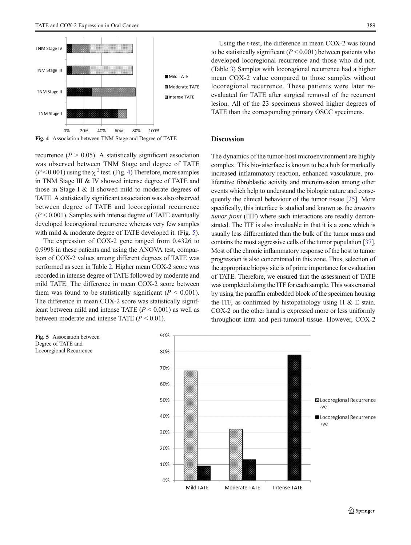

Fig. 4 Association between TNM Stage and Degree of TATE

recurrence ( $P > 0.05$ ). A statistically significant association was observed between TNM Stage and degree of TATE  $(P<0.001)$  using the  $\chi^2$  test. (Fig. 4) Therefore, more samples in TNM Stage III & IV showed intense degree of TATE and those in Stage I & II showed mild to moderate degrees of TATE. A statistically significant association was also observed between degree of TATE and locoregional recurrence  $(P < 0.001)$ . Samples with intense degree of TATE eventually developed locoregional recurrence whereas very few samples with mild & moderate degree of TATE developed it. (Fig. 5).

The expression of COX-2 gene ranged from 0.4326 to 0.9998 in these patients and using the ANOVA test, comparison of COX-2 values among different degrees of TATE was performed as seen in Table [2](#page-5-0). Higher mean COX-2 score was recorded in intense degree of TATE followed by moderate and mild TATE. The difference in mean COX-2 score between them was found to be statistically significant ( $P < 0.001$ ). The difference in mean COX-2 score was statistically significant between mild and intense TATE  $(P < 0.001)$  as well as between moderate and intense TATE  $(P < 0.01)$ .

Using the t-test, the difference in mean COX-2 was found to be statistically significant ( $P < 0.001$ ) between patients who developed locoregional recurrence and those who did not. (Table [3](#page-5-0)) Samples with locoregional recurrence had a higher mean COX-2 value compared to those samples without locoregional recurrence. These patients were later reevaluated for TATE after surgical removal of the recurrent lesion. All of the 23 specimens showed higher degrees of TATE than the corresponding primary OSCC specimens.

## Discussion

The dynamics of the tumor-host microenvironment are highly complex. This bio-interface is known to be a hub for markedly increased inflammatory reaction, enhanced vasculature, proliferative fibroblastic activity and microinvasion among other events which help to understand the biologic nature and consequently the clinical behaviour of the tumor tissue [\[25\]](#page-7-0). More specifically, this interface is studied and known as the invasive tumor front (ITF) where such interactions are readily demonstrated. The ITF is also invaluable in that it is a zone which is usually less differentiated than the bulk of the tumor mass and contains the most aggressive cells of the tumor population [\[37\]](#page-7-0). Most of the chronic inflammatory response of the host to tumor progression is also concentrated in this zone. Thus, selection of the appropriate biopsy site is of prime importance for evaluation of TATE. Therefore, we ensured that the assessment of TATE was completed along the ITF for each sample. This was ensured by using the paraffin embedded block of the specimen housing the ITF, as confirmed by histopathology using H  $\&$  E stain. COX-2 on the other hand is expressed more or less uniformly throughout intra and peri-tumoral tissue. However, COX-2



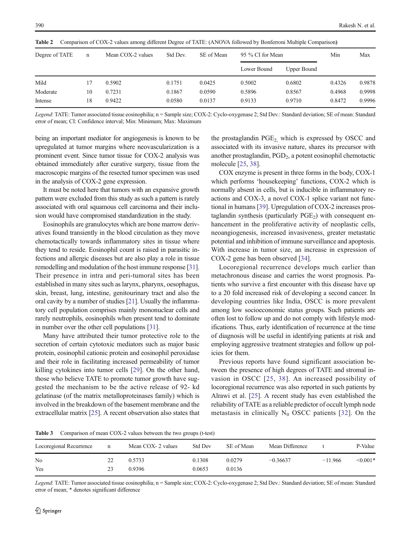| Degree of TATE | n  | Mean COX-2 values | Std Dev. | SE of Mean | 95 % CI for Mean | Min         | Max    |        |
|----------------|----|-------------------|----------|------------|------------------|-------------|--------|--------|
|                |    |                   |          |            | Lower Bound      | Upper Bound |        |        |
| Mild           | 17 | 0.5902            | 0.1751   | 0.0425     | 0.5002           | 0.6802      | 0.4326 | 0.9878 |
| Moderate       | 10 | 0.7231            | 0.1867   | 0.0590     | 0.5896           | 0.8567      | 0.4968 | 0.9998 |
| Intense        | 18 | 0.9422            | 0.0580   | 0.0137     | 0.9133           | 0.9710      | 0.8472 | 0.9996 |

<span id="page-5-0"></span>Table 2 Comparison of COX-2 values among different Degree of TATE: (ANOVA followed by Bonferroni Multiple Comparison)

Legend: TATE: Tumor associated tissue eosinophilia; n = Sample size; COX-2: Cyclo-oxygenase 2; Std Dev.: Standard deviation; SE of mean: Standard error of mean; CI: Confidence interval; Min: Minimum; Max: Maximum

being an important mediator for angiogenesis is known to be upregulated at tumor margins where neovascularization is a prominent event. Since tumor tissue for COX-2 analysis was obtained immediately after curative surgery, tissue from the macroscopic margins of the resected tumor specimen was used in the analysis of COX-2 gene expression.

It must be noted here that tumors with an expansive growth pattern were excluded from this study as such a pattern is rarely associated with oral squamous cell carcinoma and their inclusion would have compromised standardization in the study.

Eosinophils are granulocytes which are bone marrow derivatives found transiently in the blood circulation as they move chemotactically towards inflammatory sites in tissue where they tend to reside. Eosinophil count is raised in parasitic infections and allergic diseases but are also play a role in tissue remodelling and modulation of the host immune response [[31\]](#page-7-0). Their presence in intra and peri-tumoral sites has been established in many sites such as larynx, pharynx, oesophagus, skin, breast, lung, intestine, genitourinary tract and also the oral cavity by a number of studies [[21\]](#page-7-0). Usually the inflammatory cell population comprises mainly mononuclear cells and rarely neutrophils, eosinophils when present tend to dominate in number over the other cell populations [\[31](#page-7-0)].

Many have attributed their tumor protective role to the secretion of certain cytotoxic mediators such as major basic protein, eosinophil cationic protein and eosinophil peroxidase and their role in facilitating increased permeability of tumor killing cytokines into tumor cells [[29\]](#page-7-0). On the other hand, those who believe TATE to promote tumor growth have suggested the mechanism to be the active release of 92- kd gelatinase (of the matrix metalloproteinases family) which is involved in the breakdown of the basement membrane and the extracellular matrix [\[25\]](#page-7-0). A recent observation also states that the prostaglandin PGE<sub>2</sub>, which is expressed by OSCC and associated with its invasive nature, shares its precursor with another prostaglandin,  $PGD<sub>2</sub>$ , a potent eosinophil chemotactic molecule [\[25](#page-7-0), [38](#page-7-0)].

COX enzyme is present in three forms in the body, COX-1 which performs 'housekeeping' functions, COX-2 which is normally absent in cells, but is inducible in inflammatory reactions and COX-3, a novel COX-1 splice variant not functional in humans [\[39](#page-7-0)]. Upregulation of COX-2 increases prostaglandin synthesis (particularly  $PGE<sub>2</sub>$ ) with consequent enhancement in the proliferative activity of neoplastic cells, neoangiogenesis, increased invasiveness, greater metastatic potential and inhibition of immune surveillance and apoptosis. With increase in tumor size, an increase in expression of COX-2 gene has been observed [\[34\]](#page-7-0).

Locoregional recurrence develops much earlier than metachronous disease and carries the worst prognosis. Patients who survive a first encounter with this disease have up to a 20 fold increased risk of developing a second cancer. In developing countries like India, OSCC is more prevalent among low socioeconomic status groups. Such patients are often lost to follow up and do not comply with lifestyle modifications. Thus, early identification of recurrence at the time of diagnosis will be useful in identifying patients at risk and employing aggressive treatment strategies and follow up policies for them.

Previous reports have found significant association between the presence of high degrees of TATE and stromal invasion in OSCC [[25,](#page-7-0) [38](#page-7-0)]. An increased possibility of locoregional recurrence was also reported in such patients by Alrawi et al. [[25\]](#page-7-0). A recent study has even established the reliability of TATE as a reliable predictor of occult lymph node metastasis in clinically  $N_0$  OSCC patients [\[32\]](#page-7-0). On the

Table 3 Comparison of mean COX-2 values between the two groups (t-test)

| Locoregional Recurrence | n  | Mean COX- 2 values | <b>Std Dev</b> | SE of Mean | Mean Difference |           | P-Value    |
|-------------------------|----|--------------------|----------------|------------|-----------------|-----------|------------|
| N <sub>0</sub>          | 22 | 0.5733             | 0.1308         | 0.0279     | $-0.36637$      | $-11.966$ | $< 0.001*$ |
| Yes                     | 23 | 0.9396             | 0.0653         | 0.0136     |                 |           |            |

Legend: TATE: Tumor associated tissue eosinophilia; n = Sample size; COX-2: Cyclo-oxygenase 2; Std Dev.: Standard deviation; SE of mean: Standard error of mean; \* denotes significant difference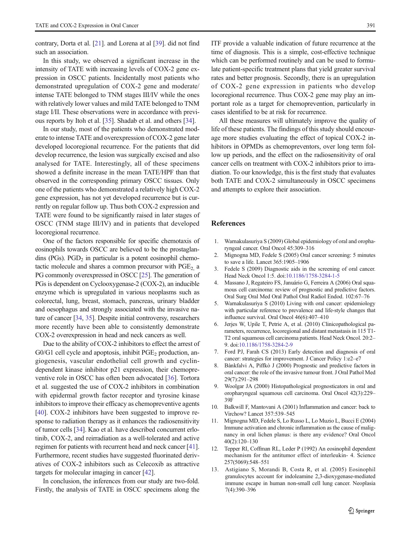<span id="page-6-0"></span>contrary, Dorta et al. [\[21](#page-7-0)]. and Lorena at al [\[39\]](#page-7-0). did not find such an association.

In this study, we observed a significant increase in the intensity of TATE with increasing levels of COX-2 gene expression in OSCC patients. Incidentally most patients who demonstrated upregulation of COX-2 gene and moderate/ intense TATE belonged to TNM stages III/IV while the ones with relatively lower values and mild TATE belonged to TNM stage I/II. These observations were in accordance with previous reports by Itoh et al. [[35\]](#page-7-0). Shadab et al. and others [[34\]](#page-7-0).

In our study, most of the patients who demonstrated moderate to intense TATE and overexpression of COX-2 gene later developed locoregional recurrence. For the patients that did develop recurrence, the lesion was surgically excised and also analysed for TATE. Interestingly, all of these specimens showed a definite increase in the mean TATE/HPF than that observed in the corresponding primary OSCC tissues. Only one of the patients who demonstrated a relatively high COX-2 gene expression, has not yet developed recurrence but is currently on regular follow up. Thus both COX-2 expression and TATE were found to be significantly raised in later stages of OSCC (TNM stage III/IV) and in patients that developed locoregional recurrence.

One of the factors responsible for specific chemotaxis of eosinophils towards OSCC are believed to be the prostaglandins (PGs).  $PGD<sub>2</sub>$  in particular is a potent eosinophil chemotactic molecule and shares a common precursor with  $PGE<sub>2</sub>$  a PG commonly overexpressed in OSCC [\[25\]](#page-7-0). The generation of PGs is dependent on Cyclooxygenase-2 (COX-2), an inducible enzyme which is upregulated in various neoplasms such as colorectal, lung, breast, stomach, pancreas, urinary bladder and oesophagus and strongly associated with the invasive nature of cancer [\[34,](#page-7-0) [35\]](#page-7-0). Despite initial controversy, researchers more recently have been able to consistently demonstrate COX-2 overexpression in head and neck cancers as well.

Due to the ability of COX-2 inhibitors to effect the arrest of  $G0/G1$  cell cycle and apoptosis, inhibit  $PGE<sub>2</sub>$  production, angiogenesis, vascular endothelial cell growth and cyclindependent kinase inhibitor p21 expression, their chemopreventive role in OSCC has often been advocated [[36\]](#page-7-0). Tortora et al. suggested the use of COX-2 inhibitors in combination with epidermal growth factor receptor and tyrosine kinase inhibitors to improve their efficacy as chemopreventive agents [\[40\]](#page-7-0). COX-2 inhibitors have been suggested to improve response to radiation therapy as it enhances the radiosensitivity of tumor cells [\[34\]](#page-7-0). Kao et al. have described concurrent erlotinib, COX-2, and reirradiation as a well-tolerated and active regimen for patients with recurrent head and neck cancer [[41\]](#page-7-0). Furthermore, recent studies have suggested fluorinated derivatives of COX-2 inhibitors such as Celecoxib as attractive targets for molecular imaging in cancer [[42](#page-7-0)].

In conclusion, the inferences from our study are two-fold. Firstly, the analysis of TATE in OSCC specimens along the ITF provide a valuable indication of future recurrence at the time of diagnosis. This is a simple, cost-effective technique which can be performed routinely and can be used to formulate patient-specific treatment plans that yield greater survival rates and better prognosis. Secondly, there is an upregulation of COX-2 gene expression in patients who develop locoregional recurrence. Thus COX-2 gene may play an important role as a target for chemoprevention, particularly in cases identified to be at risk for recurrence.

All these measures will ultimately improve the quality of life of these patients. The findings of this study should encourage more studies evaluating the effect of topical COX-2 inhibitors in OPMDs as chemopreventors, over long term follow up periods, and the effect on the radiosensitivity of oral cancer cells on treatment with COX-2 inhibitors prior to irradiation. To our knowledge, this is the first study that evaluates both TATE and COX-2 simultaneously in OSCC specimens and attempts to explore their association.

#### **References**

- 1. Warnakulasuriya S (2009) Global epidemiology of oral and oropharyngeal cancer. Oral Oncol 45:309–316
- 2. Mignogna MD, Fedele S (2005) Oral cancer screening: 5 minutes to save a life. Lancet 365:1905–1906
- 3. Fedele S (2009) Diagnostic aids in the screening of oral cancer. Head Neck Oncol 1:5. doi[:10.1186/1758-3284-1-5](http://dx.doi.org/10.1186/1758-3284-1-5)
- 4. Massano J, Regateiro FS, Januário G, Ferreira A (2006) Oral squamous cell carcinoma: review of prognostic and predictive factors. Oral Surg Oral Med Oral Pathol Oral Radiol Endod. 102:67–76
- 5. Warnakulasuriya S (2010) Living with oral cancer: epidemiology with particular reference to prevalence and life-style changes that influence survival. Oral Oncol 46(6):407–410
- 6. Jerjes W, Upile T, Petrie A, et al. (2010) Clinicopathological parameters, recurrence, locoregional and distant metastasis in 115 T1- T2 oral squamous cell carcinoma patients. Head Neck Oncol. 20:2– 9. doi[:10.1186/1758-3284-2-9](http://dx.doi.org/10.1186/1758-3284-2-9)
- 7. Ford PJ, Farah CS (2013) Early detection and diagnosis of oral cancer: strategies for improvement. J Cancer Policy 1:e2–e7
- 8. Bànkfalvi A, Piffkò J (2000) Prognostic and predictive factors in oral cancer: the role of the invasive tumour front. J Oral Pathol Med 29(7):291–298
- 9. Woolgar JA (2000) Histopathological prognosticators in oral and oropharyngeal squamous cell carcinoma. Oral Oncol 42(3):229– 39F
- 10. Balkwill F, Mantovani A (2001) Inflammation and cancer: back to Virchow? Lancet 357:539–545
- 11. Mignogna MD, Fedele S, Lo Russo L, Lo Muzio L, Bucci E (2004) Immune activation and chronic inflammation as the cause of malignancy in oral lichen planus: is there any evidence? Oral Oncol 40(2):120–130
- 12. Tepper RI, Coffman RL, Leder P (1992) An eosinophil dependent mechanism for the antitumor effect of interleukin- 4. Science 257(5069):548–551
- 13. Astigiano S, Morandi B, Costa R, et al. (2005) Eosinophil granulocytes account for indoleamine 2,3-dioxygenase-mediated immune escape in human non-small cell lung cancer. Neoplasia 7(4):390–396